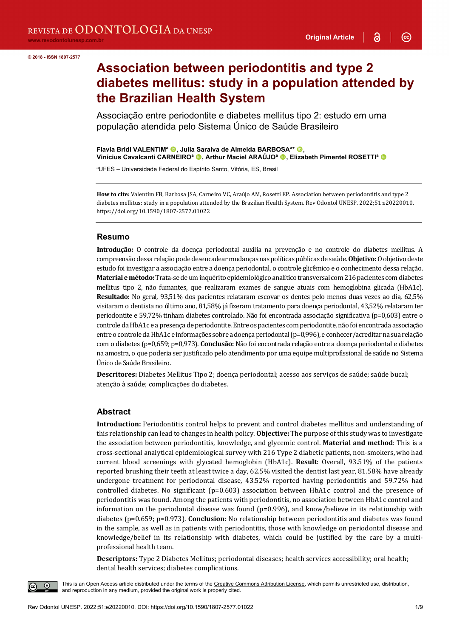3

 $\odot$ 

**Association between periodontitis and type 2 diabetes mellitus: study in a population attended by the Brazilian Health System**

Associação entre periodontite e diabetes mellitus tipo 2: estudo em uma população atendida pelo Sistema Único de Saúde Brasileiro

**Flavia Bridi VALENTIM<sup>a</sup> ©, Julia Saraiva de Almeida BARBOSA<sup>a\*</sup> ©, Vinícius Cavalcanti CARNEIRO<sup>a</sup> <b>O**, Arthur Maciel ARAÚJO<sup>a</sup> **O**, Elizabeth Pimentel ROSETTI<sup>a</sup> O

a UFES – Universidade Federal do Espírito Santo, Vitória, ES, Brasil

**How to cite:** Valentim FB, Barbosa JSA, Carneiro VC, Araújo AM, Rosetti EP. Association between periodontitis and type 2 diabetes mellitus: study in a population attended by the Brazilian Health System. Rev Odontol UNESP. 2022;51:e20220010. https://doi.org/10.1590/1807-2577.01022

#### **Resumo**

**Introdução:** O controle da doença periodontal auxilia na prevenção e no controle do diabetes mellitus. A compreensão dessa relação pode desencadear mudanças nas políticas públicas de saúde. **Objetivo:**O objetivo deste estudo foi investigar a associação entre a doença periodontal, o controle glicêmico e o conhecimento dessa relação. **Material e método:**Trata-se de um inquérito epidemiológico analítico transversal com 216 pacientes com diabetes mellitus tipo 2, não fumantes, que realizaram exames de sangue atuais com hemoglobina glicada (HbA1c). **Resultado:** No geral, 93,51% dos pacientes relataram escovar os dentes pelo menos duas vezes ao dia, 62,5% visitaram o dentista no último ano, 81,58% já fizeram tratamento para doença periodontal, 43,52% relataram ter periodontite e 59,72% tinham diabetes controlado. Não foi encontrada associação significativa (p=0,603) entre o controle da HbA1c e a presença de periodontite. Entre os pacientes com periodontite, não foi encontrada associação entre o controle da HbA1c e informações sobre a doença periodontal (p=0,996), e conhecer/acreditar na sua relação com o diabetes (p=0,659; p=0,973). **Conclusão:** Não foi encontrada relação entre a doença periodontal e diabetes na amostra, o que poderia ser justificado pelo atendimento por uma equipe multiprofissional de saúde no Sistema Único de Saúde Brasileiro.

**Descritores:** Diabetes Mellitus Tipo 2; doença periodontal; acesso aos serviços de saúde; saúde bucal; atenção à saúde; complicações do diabetes.

#### **Abstract**

**Introduction:** Periodontitis control helps to prevent and control diabetes mellitus and understanding of this relationship can lead to changes in health policy. **Objective:** The purpose of this study was to investigate the association between periodontitis, knowledge, and glycemic control. **Material and method**: This is a cross-sectional analytical epidemiological survey with 216 Type 2 diabetic patients, non-smokers, who had current blood screenings with glycated hemoglobin (HbA1c). **Result**: Overall, 93.51% of the patients reported brushing their teeth at least twice a day, 62.5% visited the dentist last year, 81.58% have already undergone treatment for periodontal disease, 43.52% reported having periodontitis and 59.72% had controlled diabetes. No significant (p=0.603) association between HbA1c control and the presence of periodontitis was found. Among the patients with periodontitis, no association between HbA1c control and information on the periodontal disease was found (p=0.996), and know/believe in its relationship with diabetes (p=0.659; p=0.973). **Conclusion**: No relationship between periodontitis and diabetes was found in the sample, as well as in patients with periodontitis, those with knowledge on periodontal disease and knowledge/belief in its relationship with diabetes, which could be justified by the care by a multiprofessional health team.

**Descriptors:** Type 2 Diabetes Mellitus; periodontal diseases; health services accessibility; oral health; dental health services; diabetes complications.

This is an Open Access article distributed under the terms of the Creative Commons Attribution License, which permits unrestricted use, distribution, and reproduction in any medium, provided the original work is properly cited.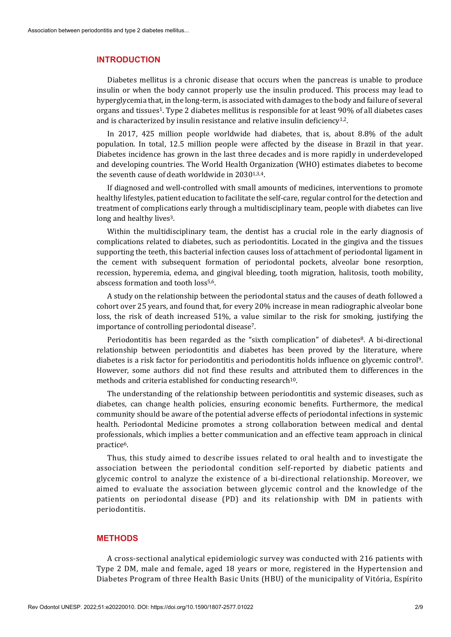#### **INTRODUCTION**

Diabetes mellitus is a chronic disease that occurs when the pancreas is unable to produce insulin or when the body cannot properly use the insulin produced. This process may lead to hyperglycemia that, in the long-term, is associated with damages to the body and failure of several organs and tissues1. Type 2 diabetes mellitus is responsible for at least 90% of all diabetes cases and is characterized by insulin resistance and relative insulin deficiency<sup>1,2</sup>.

In 2017, 425 million people worldwide had diabetes, that is, about 8.8% of the adult population. In total, 12.5 million people were affected by the disease in Brazil in that year. Diabetes incidence has grown in the last three decades and is more rapidly in underdeveloped and developing countries. The World Health Organization (WHO) estimates diabetes to become the seventh cause of death worldwide in 2030<sup>1,3,4</sup>.

If diagnosed and well-controlled with small amounts of medicines, interventions to promote healthy lifestyles, patient education to facilitate the self-care, regular control for the detection and treatment of complications early through a multidisciplinary team, people with diabetes can live long and healthy lives<sup>3</sup>.

Within the multidisciplinary team, the dentist has a crucial role in the early diagnosis of complications related to diabetes, such as periodontitis. Located in the gingiva and the tissues supporting the teeth, this bacterial infection causes loss of attachment of periodontal ligament in the cement with subsequent formation of periodontal pockets, alveolar bone resorption, recession, hyperemia, edema, and gingival bleeding, tooth migration, halitosis, tooth mobility, abscess formation and tooth loss5,6.

A study on the relationship between the periodontal status and the causes of death followed a cohort over 25 years, and found that, for every 20% increase in mean radiographic alveolar bone loss, the risk of death increased 51%, a value similar to the risk for smoking, justifying the importance of controlling periodontal disease7.

Periodontitis has been regarded as the "sixth complication" of diabetes<sup>8</sup>. A bi-directional relationship between periodontitis and diabetes has been proved by the literature, where diabetes is a risk factor for periodontitis and periodontitis holds influence on glycemic control9. However, some authors did not find these results and attributed them to differences in the methods and criteria established for conducting research<sup>10</sup>.

The understanding of the relationship between periodontitis and systemic diseases, such as diabetes, can change health policies, ensuring economic benefits. Furthermore, the medical community should be aware of the potential adverse effects of periodontal infections in systemic health. Periodontal Medicine promotes a strong collaboration between medical and dental professionals, which implies a better communication and an effective team approach in clinical practice6.

Thus, this study aimed to describe issues related to oral health and to investigate the association between the periodontal condition self-reported by diabetic patients and glycemic control to analyze the existence of a bi-directional relationship. Moreover, we aimed to evaluate the association between glycemic control and the knowledge of the patients on periodontal disease (PD) and its relationship with DM in patients with periodontitis.

## **METHODS**

A cross-sectional analytical epidemiologic survey was conducted with 216 patients with Type 2 DM, male and female, aged 18 years or more, registered in the Hypertension and Diabetes Program of three Health Basic Units (HBU) of the municipality of Vitória, Espírito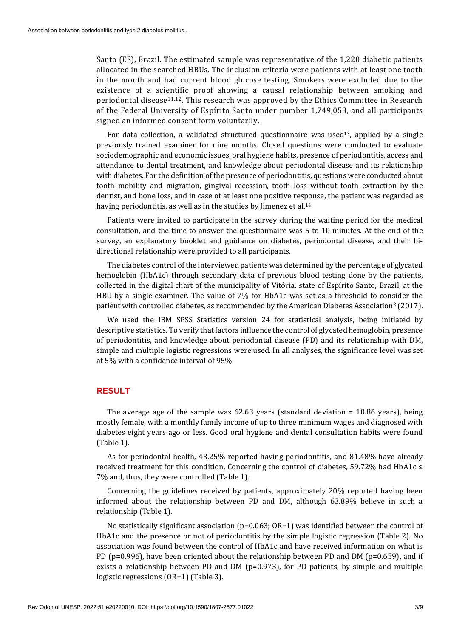Santo (ES), Brazil. The estimated sample was representative of the 1,220 diabetic patients allocated in the searched HBUs. The inclusion criteria were patients with at least one tooth in the mouth and had current blood glucose testing. Smokers were excluded due to the existence of a scientific proof showing a causal relationship between smoking and periodontal disease<sup>11,12</sup>. This research was approved by the Ethics Committee in Research of the Federal University of Espírito Santo under number 1,749,053, and all participants signed an informed consent form voluntarily.

For data collection, a validated structured questionnaire was used<sup>13</sup>, applied by a single previously trained examiner for nine months. Closed questions were conducted to evaluate sociodemographic and economic issues, oral hygiene habits, presence of periodontitis, access and attendance to dental treatment, and knowledge about periodontal disease and its relationship with diabetes. For the definition of the presence of periodontitis, questions were conducted about tooth mobility and migration, gingival recession, tooth loss without tooth extraction by the dentist, and bone loss, and in case of at least one positive response, the patient was regarded as having periodontitis, as well as in the studies by Jimenez et al.<sup>14</sup>.

Patients were invited to participate in the survey during the waiting period for the medical consultation, and the time to answer the questionnaire was 5 to 10 minutes. At the end of the survey, an explanatory booklet and guidance on diabetes, periodontal disease, and their bidirectional relationship were provided to all participants.

The diabetes control of the interviewed patients was determined by the percentage of glycated hemoglobin (HbA1c) through secondary data of previous blood testing done by the patients, collected in the digital chart of the municipality of Vitória, state of Espírito Santo, Brazil, at the HBU by a single examiner. The value of 7% for HbA1c was set as a threshold to consider the patient with controlled diabetes, as recommended by the American Diabetes Association<sup>2</sup> (2017).

We used the IBM SPSS Statistics version 24 for statistical analysis, being initiated by descriptive statistics. To verify that factors influence the control of glycated hemoglobin, presence of periodontitis, and knowledge about periodontal disease (PD) and its relationship with DM, simple and multiple logistic regressions were used. In all analyses, the significance level was set at 5% with a confidence interval of 95%.

#### **RESULT**

The average age of the sample was 62.63 years (standard deviation = 10.86 years), being mostly female, with a monthly family income of up to three minimum wages and diagnosed with diabetes eight years ago or less. Good oral hygiene and dental consultation habits were found (Table 1).

As for periodontal health, 43.25% reported having periodontitis, and 81.48% have already received treatment for this condition. Concerning the control of diabetes, 59.72% had HbA1c ≤ 7% and, thus, they were controlled (Table 1).

Concerning the guidelines received by patients, approximately 20% reported having been informed about the relationship between PD and DM, although 63.89% believe in such a relationship (Table 1).

No statistically significant association (p=0.063; OR*=*1) was identified between the control of HbA1c and the presence or not of periodontitis by the simple logistic regression (Table 2). No association was found between the control of HbA1c and have received information on what is PD (p=0.996), have been oriented about the relationship between PD and DM (p=0.659), and if exists a relationship between PD and DM ( $p=0.973$ ), for PD patients, by simple and multiple logistic regressions (OR=1) (Table 3).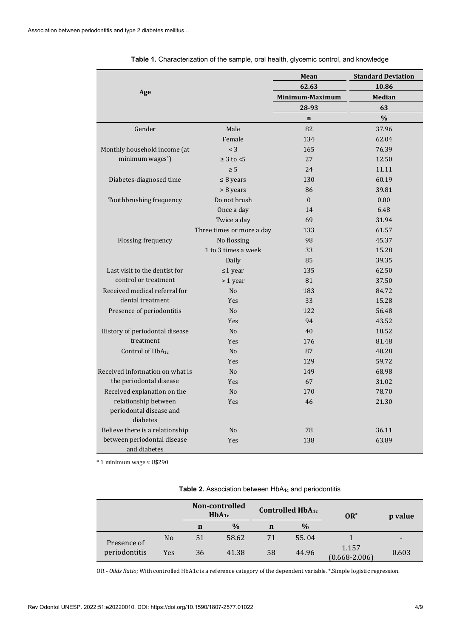|                                     |                           | Mean            | <b>Standard Deviation</b> |  |  |
|-------------------------------------|---------------------------|-----------------|---------------------------|--|--|
|                                     |                           | 62.63           | 10.86                     |  |  |
| Age                                 |                           | Minimum-Maximum | Median                    |  |  |
|                                     |                           | 28-93           | 63                        |  |  |
|                                     |                           | $\mathbf n$     | $\%$                      |  |  |
| Gender                              | Male                      | 82              | 37.96                     |  |  |
|                                     | Female                    | 134             | 62.04                     |  |  |
| Monthly household income (at        | $<$ 3                     | 165             | 76.39                     |  |  |
| minimum wages*)                     | $\geq 3$ to $\leq 5$      | 27              | 12.50                     |  |  |
|                                     | $\geq 5$                  | 24              | 11.11                     |  |  |
| Diabetes-diagnosed time             | $\leq$ 8 years            | 130             | 60.19                     |  |  |
|                                     | > 8 years                 | 86              | 39.81                     |  |  |
| Toothbrushing frequency             | Do not brush              | $\mathbf{0}$    | 0.00                      |  |  |
|                                     | Once a day                | 14              | 6.48                      |  |  |
|                                     | Twice a day               | 69              | 31.94                     |  |  |
|                                     | Three times or more a day | 133             | 61.57                     |  |  |
| Flossing frequency                  | No flossing               | 98              | 45.37                     |  |  |
|                                     | 1 to 3 times a week       | 33              | 15.28                     |  |  |
|                                     | Daily                     | 85              | 39.35                     |  |  |
| Last visit to the dentist for       | $\leq 1$ year             | 135             | 62.50                     |  |  |
| control or treatment                | > 1 year                  | 81              | 37.50                     |  |  |
| Received medical referral for       | N <sub>o</sub>            | 183             | 84.72                     |  |  |
| dental treatment                    | <b>Yes</b>                | 33              | 15.28                     |  |  |
| Presence of periodontitis           | No                        | 122             | 56.48                     |  |  |
|                                     | <b>Yes</b>                | 94              | 43.52                     |  |  |
| History of periodontal disease      | N <sub>o</sub>            | 40              | 18.52                     |  |  |
| treatment                           | Yes                       | 176             | 81.48                     |  |  |
| Control of $HbA_{1c}$               | N <sub>o</sub>            | 87              | 40.28                     |  |  |
|                                     | Yes                       | 129             | 59.72                     |  |  |
| Received information on what is     | N <sub>o</sub>            | 149             | 68.98                     |  |  |
| the periodontal disease             | Yes                       | 67              | 31.02                     |  |  |
| Received explanation on the         | N <sub>o</sub>            | 170             | 78.70                     |  |  |
| relationship between<br>Yes         |                           | 46              | 21.30                     |  |  |
| periodontal disease and<br>diabetes |                           |                 |                           |  |  |
| Believe there is a relationship     | N <sub>o</sub>            | 78              | 36.11                     |  |  |
| between periodontal disease         | Yes                       | 138             | 63.89                     |  |  |
| and diabetes                        |                           |                 |                           |  |  |

**Table 1.** Characterization of the sample, oral health, glycemic control, and knowledge

\* 1 minimum wage ≈ U\$290

| Table 2. Association between HbA <sub>1c</sub> and periodontitis |  |
|------------------------------------------------------------------|--|
|------------------------------------------------------------------|--|

|                              |                | Non-controlled<br>$HbA_{1c}$ |               | <b>Controlled HbA1c</b> |               | $OR^*$                     | p value |
|------------------------------|----------------|------------------------------|---------------|-------------------------|---------------|----------------------------|---------|
|                              |                | n                            | $\frac{0}{0}$ | n                       | $\frac{0}{0}$ |                            |         |
| Presence of<br>periodontitis | N <sub>0</sub> | 51                           | 58.62         | 71                      | 55.04         |                            |         |
|                              | Yes            | 36                           | 41.38         | 58                      | 44.96         | 1.157<br>$(0.668 - 2.006)$ | 0.603   |

OR - *Odds Ratio*; With controlled HbA1c is a reference category of the dependent variable. \*.Simple logistic regression.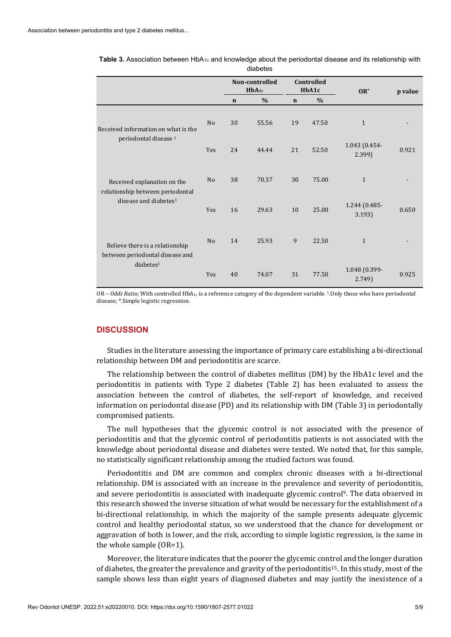|                                                                                                      |                | Non-controlled<br>$HbA_{1c}$ |       | Controlled<br>HbA1c |       | $OR^*$                 | p value |
|------------------------------------------------------------------------------------------------------|----------------|------------------------------|-------|---------------------|-------|------------------------|---------|
|                                                                                                      |                | $\mathbf n$                  | $\%$  | $\mathbf n$         | $\%$  |                        |         |
| Received information on what is the<br>periodontal disease <sup>1</sup>                              | N <sub>o</sub> | 30                           | 55.56 | 19                  | 47.50 | $\mathbf{1}$           |         |
|                                                                                                      | Yes            | 24                           | 44.44 | 21                  | 52.50 | 1.043 (0.454-<br>2.399 | 0.921   |
| Received explanation on the<br>relationship between periodontal<br>disease and diabetes <sup>1</sup> | N <sub>0</sub> | 38                           | 70.37 | 30                  | 75.00 | $\mathbf{1}$           |         |
|                                                                                                      | Yes            | 16                           | 29.63 | 10                  | 25.00 | 1.244 (0.485-<br>3.193 | 0.650   |
| Believe there is a relationship<br>between periodontal disease and<br>diabetes <sup>1</sup>          | N <sub>o</sub> | 14                           | 25.93 | 9                   | 22.50 | $\mathbf{1}$           |         |
|                                                                                                      | Yes            | 40                           | 74.07 | 31                  | 77.50 | 1.048 (0.399-<br>2.749 | 0.925   |

Table 3. Association between HbA<sub>1c</sub> and knowledge about the periodontal disease and its relationship with diabetes

OR - *Odds Ratio*; With controlled HbA<sub>1c</sub> is a reference category of the dependent variable. <sup>1</sup>. Only those who have periodontal disease; \*.Simple logistic regression.

## **DISCUSSION**

Studies in the literature assessing the importance of primary care establishing a bi-directional relationship between DM and periodontitis are scarce.

The relationship between the control of diabetes mellitus (DM) by the HbA1c level and the periodontitis in patients with Type 2 diabetes (Table 2) has been evaluated to assess the association between the control of diabetes, the self-report of knowledge, and received information on periodontal disease (PD) and its relationship with DM (Table 3) in periodontally compromised patients.

The null hypotheses that the glycemic control is not associated with the presence of periodontitis and that the glycemic control of periodontitis patients is not associated with the knowledge about periodontal disease and diabetes were tested. We noted that, for this sample, no statistically significant relationship among the studied factors was found.

Periodontitis and DM are common and complex chronic diseases with a bi-directional relationship. DM is associated with an increase in the prevalence and severity of periodontitis, and severe periodontitis is associated with inadequate glycemic control9. The data observed in this research showed the inverse situation of what would be necessary for the establishment of a bi-directional relationship, in which the majority of the sample presents adequate glycemic control and healthy periodontal status, so we understood that the chance for development or aggravation of both is lower, and the risk, according to simple logistic regression, is the same in the whole sample (OR=1).

Moreover, the literature indicates that the poorer the glycemic control and the longer duration of diabetes, the greater the prevalence and gravity of the periodontitis15. In this study, most of the sample shows less than eight years of diagnosed diabetes and may justify the inexistence of a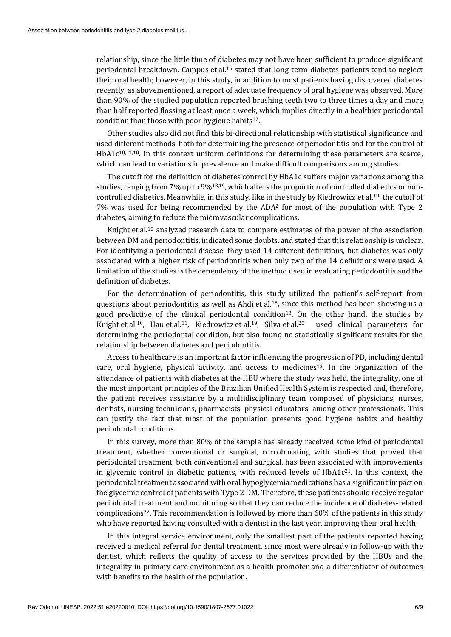relationship, since the little time of diabetes may not have been sufficient to produce significant periodontal breakdown. Campus et al.16 stated that long-term diabetes patients tend to neglect their oral health; however, in this study, in addition to most patients having discovered diabetes recently, as abovementioned, a report of adequate frequency of oral hygiene was observed. More than 90% of the studied population reported brushing teeth two to three times a day and more than half reported flossing at least once a week, which implies directly in a healthier periodontal condition than those with poor hygiene habits $17$ .

Other studies also did not find this bi-directional relationship with statistical significance and used different methods, both for determining the presence of periodontitis and for the control of HbA1c<sup>10,11,18</sup>. In this context uniform definitions for determining these parameters are scarce, which can lead to variations in prevalence and make difficult comparisons among studies.

The cutoff for the definition of diabetes control by HbA1c suffers major variations among the studies, ranging from 7% up to 9%18,19, which alters the proportion of controlled diabetics or noncontrolled diabetics. Meanwhile, in this study, like in the study by Kiedrowicz et al.19, the cutoff of 7% was used for being recommended by the ADA2 for most of the population with Type 2 diabetes, aiming to reduce the microvascular complications.

Knight et al.10 analyzed research data to compare estimates of the power of the association between DM and periodontitis, indicated some doubts, and stated that this relationship is unclear. For identifying a periodontal disease, they used 14 different definitions, but diabetes was only associated with a higher risk of periodontitis when only two of the 14 definitions were used. A limitation of the studies is the dependency of the method used in evaluating periodontitis and the definition of diabetes.

For the determination of periodontitis, this study utilized the patient's self-report from questions about periodontitis, as well as Ahdi et al.<sup>18</sup>, since this method has been showing us a good predictive of the clinical periodontal condition<sup>13</sup>. On the other hand, the studies by Knight et al.<sup>10</sup>, Han et al.<sup>11</sup>, Kiedrowicz et al.<sup>19</sup>, Silva et al.<sup>20</sup> used clinical parameters for determining the periodontal condition, but also found no statistically significant results for the relationship between diabetes and periodontitis.

Access to healthcare is an important factor influencing the progression of PD, including dental care, oral hygiene, physical activity, and access to medicines<sup>13</sup>. In the organization of the attendance of patients with diabetes at the HBU where the study was held, the integrality, one of the most important principles of the Brazilian Unified Health System is respected and, therefore, the patient receives assistance by a multidisciplinary team composed of physicians, nurses, dentists, nursing technicians, pharmacists, physical educators, among other professionals. This can justify the fact that most of the population presents good hygiene habits and healthy periodontal conditions.

In this survey, more than 80% of the sample has already received some kind of periodontal treatment, whether conventional or surgical, corroborating with studies that proved that periodontal treatment, both conventional and surgical, has been associated with improvements in glycemic control in diabetic patients, with reduced levels of  $HbA1c<sup>21</sup>$ . In this context, the periodontal treatment associated with oral hypoglycemia medications has a significant impact on the glycemic control of patients with Type 2 DM. Therefore, these patients should receive regular periodontal treatment and monitoring so that they can reduce the incidence of diabetes-related complications22. This recommendation is followed by more than 60% of the patients in this study who have reported having consulted with a dentist in the last year, improving their oral health.

In this integral service environment, only the smallest part of the patients reported having received a medical referral for dental treatment, since most were already in follow-up with the dentist, which reflects the quality of access to the services provided by the HBUs and the integrality in primary care environment as a health promoter and a differentiator of outcomes with benefits to the health of the population.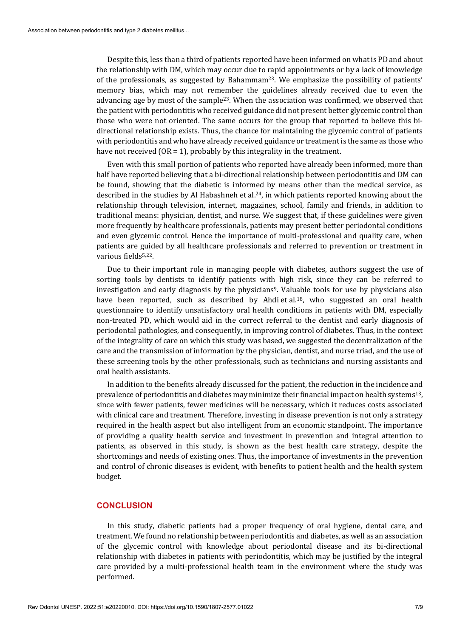Despite this, less than a third of patients reported have been informed on what is PD and about the relationship with DM, which may occur due to rapid appointments or by a lack of knowledge of the professionals, as suggested by Bahammam<sup>23</sup>. We emphasize the possibility of patients' memory bias, which may not remember the guidelines already received due to even the advancing age by most of the sample<sup>23</sup>. When the association was confirmed, we observed that the patient with periodontitis who received guidance did not present better glycemic control than those who were not oriented. The same occurs for the group that reported to believe this bidirectional relationship exists. Thus, the chance for maintaining the glycemic control of patients with periodontitis and who have already received guidance or treatment is the same as those who have not received  $(OR = 1)$ , probably by this integrality in the treatment.

Even with this small portion of patients who reported have already been informed, more than half have reported believing that a bi-directional relationship between periodontitis and DM can be found, showing that the diabetic is informed by means other than the medical service, as described in the studies by Al Habashneh et al.<sup>24</sup>, in which patients reported knowing about the relationship through television, internet, magazines, school, family and friends, in addition to traditional means: physician, dentist, and nurse. We suggest that, if these guidelines were given more frequently by healthcare professionals, patients may present better periodontal conditions and even glycemic control. Hence the importance of multi-professional and quality care, when patients are guided by all healthcare professionals and referred to prevention or treatment in various fields<sup>5,22</sup>.

Due to their important role in managing people with diabetes, authors suggest the use of sorting tools by dentists to identify patients with high risk, since they can be referred to investigation and early diagnosis by the physicians<sup>9</sup>. Valuable tools for use by physicians also have been reported, such as described by Ahdi et al.<sup>18</sup>, who suggested an oral health questionnaire to identify unsatisfactory oral health conditions in patients with DM, especially non-treated PD, which would aid in the correct referral to the dentist and early diagnosis of periodontal pathologies, and consequently, in improving control of diabetes. Thus, in the context of the integrality of care on which this study was based, we suggested the decentralization of the care and the transmission of information by the physician, dentist, and nurse triad, and the use of these screening tools by the other professionals, such as technicians and nursing assistants and oral health assistants.

In addition to the benefits already discussed for the patient, the reduction in the incidence and prevalence of periodontitis and diabetes may minimize their financial impact on health systems13, since with fewer patients, fewer medicines will be necessary, which it reduces costs associated with clinical care and treatment. Therefore, investing in disease prevention is not only a strategy required in the health aspect but also intelligent from an economic standpoint. The importance of providing a quality health service and investment in prevention and integral attention to patients, as observed in this study, is shown as the best health care strategy, despite the shortcomings and needs of existing ones. Thus, the importance of investments in the prevention and control of chronic diseases is evident, with benefits to patient health and the health system budget.

#### **CONCLUSION**

In this study, diabetic patients had a proper frequency of oral hygiene, dental care, and treatment. We found no relationship between periodontitis and diabetes, as well as an association of the glycemic control with knowledge about periodontal disease and its bi-directional relationship with diabetes in patients with periodontitis, which may be justified by the integral care provided by a multi-professional health team in the environment where the study was performed.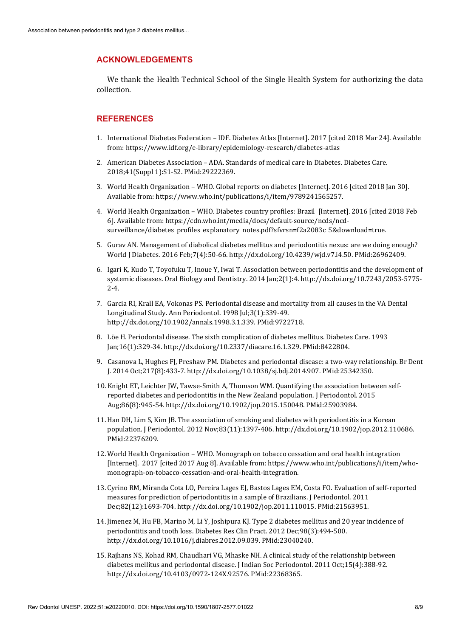### **ACKNOWLEDGEMENTS**

We thank the Health Technical School of the Single Health System for authorizing the data collection.

### **REFERENCES**

- 1. International Diabetes Federation IDF. Diabetes Atlas [Internet]. 2017 [cited 2018 Mar 24]. Available from: https://www.idf.org/e-library/epidemiology-research/diabetes-atlas
- 2. American Diabetes Association ADA. Standards of medical care in Diabetes. Diabetes Care. 2018;41(Suppl 1):S1-S2. [PMid:29222369.](https://www.ncbi.nlm.nih.gov/entrez/query.fcgi?cmd=Retrieve&db=PubMed&list_uids=29222369&dopt=Abstract)
- 3. World Health Organization WHO. Global reports on diabetes [Internet]. 2016 [cited 2018 Jan 30]. Available from: https://www.who.int/publications/i/item/9789241565257.
- 4. World Health Organization WHO. Diabetes country profiles: Brazil [Internet]. 2016 [cited 2018 Feb 6]. Available from[: https://cdn.who.int/media/docs/default-source/ncds/ncd](https://cdn.who.int/media/docs/default-source/ncds/ncd-surveillance/diabetes_profiles_explanatory_notes.pdf?sfvrsn=f2a2083c_5&download=true)[surveillance/diabetes\\_profiles\\_explanatory\\_notes.pdf?sfvrsn=f2a2083c\\_5&download=true.](https://cdn.who.int/media/docs/default-source/ncds/ncd-surveillance/diabetes_profiles_explanatory_notes.pdf?sfvrsn=f2a2083c_5&download=true)
- 5. Gurav AN. Management of diabolical diabetes mellitus and periodontitis nexus: are we doing enough? World J Diabetes. 2016 Feb;7(4):50-66. [http://dx.doi.org/10.4239/wjd.v7.i4.50.](https://doi.org/10.4239/wjd.v7.i4.50) [PMid:26962409.](https://www.ncbi.nlm.nih.gov/entrez/query.fcgi?cmd=Retrieve&db=PubMed&list_uids=26962409&dopt=Abstract)
- 6. Igari K, Kudo T, Toyofuku T, Inoue Y, Iwai T. Association between periodontitis and the development of systemic diseases. Oral Biology and Dentistry. 2014 Jan;2(1):4[. http://dx.doi.org/10.7243/2053-5775-](https://doi.org/10.7243/2053-5775-2-4) [2-4.](https://doi.org/10.7243/2053-5775-2-4)
- 7. Garcia RI, Krall EA, Vokonas PS. Periodontal disease and mortality from all causes in the VA Dental Longitudinal Study. Ann Periodontol. 1998 Jul;3(1):339-49. [http://dx.doi.org/10.1902/annals.1998.3.1.339.](https://doi.org/10.1902/annals.1998.3.1.339) [PMid:9722718.](https://www.ncbi.nlm.nih.gov/entrez/query.fcgi?cmd=Retrieve&db=PubMed&list_uids=9722718&dopt=Abstract)
- 8. Löe H. Periodontal disease. The sixth complication of diabetes mellitus. Diabetes Care. 1993 Jan;16(1):329-34[. http://dx.doi.org/10.2337/diacare.16.1.329.](https://doi.org/10.2337/diacare.16.1.329) [PMid:8422804.](https://www.ncbi.nlm.nih.gov/entrez/query.fcgi?cmd=Retrieve&db=PubMed&list_uids=8422804&dopt=Abstract)
- 9. Casanova L, Hughes FJ, Preshaw PM. Diabetes and periodontal disease: a two-way relationship. Br Dent J. 2014 Oct;217(8):433-7[. http://dx.doi.org/10.1038/sj.bdj.2014.907.](https://doi.org/10.1038/sj.bdj.2014.907) [PMid:25342350.](https://www.ncbi.nlm.nih.gov/entrez/query.fcgi?cmd=Retrieve&db=PubMed&list_uids=25342350&dopt=Abstract)
- 10. Knight ET, Leichter JW, Tawse-Smith A, Thomson WM. Quantifying the association between selfreported diabetes and periodontitis in the New Zealand population. J Periodontol. 2015 Aug;86(8):945-54[. http://dx.doi.org/10.1902/jop.2015.150048.](https://doi.org/10.1902/jop.2015.150048) [PMid:25903984.](https://www.ncbi.nlm.nih.gov/entrez/query.fcgi?cmd=Retrieve&db=PubMed&list_uids=25903984&dopt=Abstract)
- 11. Han DH, Lim S, Kim JB. The association of smoking and diabetes with periodontitis in a Korean population. J Periodontol. 2012 Nov;83(11):1397-406. [http://dx.doi.org/10.1902/jop.2012.110686.](https://doi.org/10.1902/jop.2012.110686) [PMid:22376209.](https://www.ncbi.nlm.nih.gov/entrez/query.fcgi?cmd=Retrieve&db=PubMed&list_uids=22376209&dopt=Abstract)
- 12. World Health Organization WHO. Monograph on tobacco cessation and oral health integration [Internet]. 2017 [cited 2017 Aug 8]. Available from: https://www.who.int/publications/i/item/whomonograph-on-tobacco-cessation-and-oral-health-integration.
- 13. Cyrino RM, Miranda Cota LO, Pereira Lages EJ, Bastos Lages EM, Costa FO. Evaluation of self-reported measures for prediction of periodontitis in a sample of Brazilians. J Periodontol. 2011 Dec;82(12):1693-704[. http://dx.doi.org/10.1902/jop.2011.110015.](https://doi.org/10.1902/jop.2011.110015) [PMid:21563951.](https://www.ncbi.nlm.nih.gov/entrez/query.fcgi?cmd=Retrieve&db=PubMed&list_uids=21563951&dopt=Abstract)
- 14. Jimenez M, Hu FB, Marino M, Li Y, Joshipura KJ. Type 2 diabetes mellitus and 20 year incidence of periodontitis and tooth loss. Diabetes Res Clin Pract. 2012 Dec;98(3):494-500. [http://dx.doi.org/10.1016/j.diabres.2012.09.039.](https://doi.org/10.1016/j.diabres.2012.09.039) [PMid:23040240.](https://www.ncbi.nlm.nih.gov/entrez/query.fcgi?cmd=Retrieve&db=PubMed&list_uids=23040240&dopt=Abstract)
- 15. Rajhans NS, Kohad RM, Chaudhari VG, Mhaske NH. A clinical study of the relationship between diabetes mellitus and periodontal disease. J Indian Soc Periodontol. 2011 Oct;15(4):388-92. [http://dx.doi.org/10.4103/0972-124X.92576.](https://doi.org/10.4103/0972-124X.92576) [PMid:22368365.](https://www.ncbi.nlm.nih.gov/entrez/query.fcgi?cmd=Retrieve&db=PubMed&list_uids=22368365&dopt=Abstract)